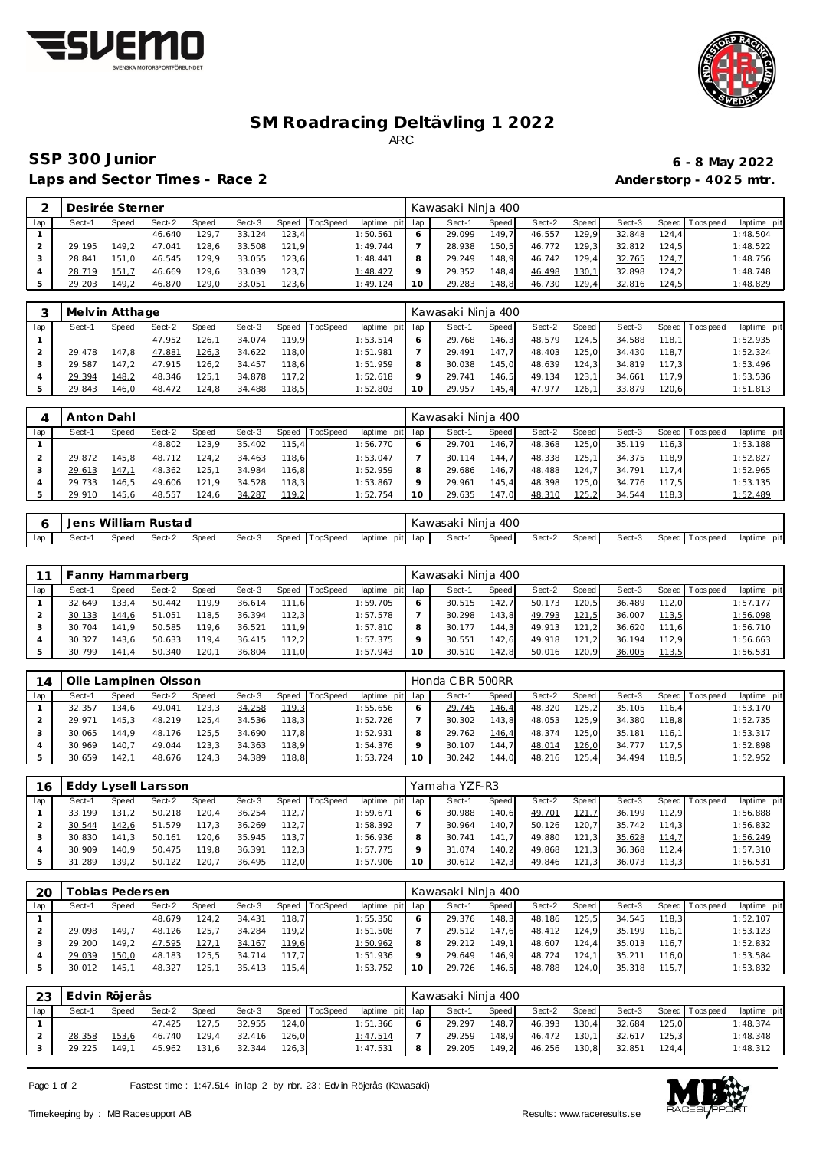



## **SM Roadracing Deltävling 1 2022** ARC

### **SSP 300 Junior 6 - 8 May 2022** Laps and Sector Times - Race 2 **Anderstorp - 4025 mtr.**

|     | Desirée Sterner |       |        |       |        |       |          |                 | Kawasaki Ninja 400 |       |        |         |        |       |                 |             |
|-----|-----------------|-------|--------|-------|--------|-------|----------|-----------------|--------------------|-------|--------|---------|--------|-------|-----------------|-------------|
| lap | Sect-′          | Speed | Sect-2 | Speed | Sect-3 | Speed | TopSpeed | laptime pit lap | Sect-1             | Speed | Sect-2 | Speed I | Sect-3 |       | Speed Tops peed | laptime pit |
|     |                 |       | 46.640 | 129.7 | 33.124 | 123.4 |          | 1:50.561        | 29.099             | 149.7 | 46.557 | 129.9   | 32.848 | 124.4 |                 | 1:48.504    |
|     | 29.195          | 149.2 | 47.041 | 128,6 | 33.508 | 121.9 |          | 1:49.744        | 28.938             | 150.5 | 46.772 | 129.3   | 32.812 | 124.5 |                 | 1:48.522    |
|     | 28.841          | 151.0 | 46.545 | 129.9 | 33.055 | 123.6 |          | 1:48.441        | 29.249             | 148.9 | 46.742 | 129.4   | 32.765 | 124,7 |                 | 1:48.756    |
|     | 28.719          | 151.7 | 46.669 | 129,6 | 33.039 | 123.7 |          | 1:48.427        | 29.352             | 148.4 | 46.498 | 130,1   | 32.898 | 124.2 |                 | 1:48.748    |
|     | 29.203          | 149.2 | 46.870 | 129.0 | 33.051 | 123.6 |          | 1:49.124        | 29.283             | 148,8 | 46.730 | 129.4   | 32.816 | 124.5 |                 | 1:48.829    |

|     | Melvin Atthage |       |        |       |        |       |                |             |     | Kawasaki Ninja 400 |       |        |         |        |       |                 |             |
|-----|----------------|-------|--------|-------|--------|-------|----------------|-------------|-----|--------------------|-------|--------|---------|--------|-------|-----------------|-------------|
| lap | Sect-1         | Speed | Sect-2 | Speed | Sect-3 |       | Speed TopSpeed | laptime pit | lap | Sect-1             | Speed | Sect-2 | Speed I | Sect-3 |       | Speed Tops peed | laptime pit |
|     |                |       | 47.952 | 126.1 | 34.074 | 119.9 |                | 1:53.514    | 6   | 29.768             | 146.3 | 48.579 | 124.5   | 34.588 | 118.1 |                 | 1:52.935    |
|     | 29.478         | 147.8 | 47.881 | 126,3 | 34.622 | 118.0 |                | 1:51.981    |     | 29.491             | 147.7 | 48.403 | 125.0   | 34.430 | 118.7 |                 | 1:52.324    |
|     | 29.587         | 147.2 | 47.915 | 126.2 | 34.457 | 118.6 |                | 1:51.959    | 8   | 30.038             | 145.0 | 48.639 | 124.3   | 34.819 | 117.3 |                 | 1:53.496    |
|     | 29.394         | 148,2 | 48.346 | 125.1 | 34.878 | 117.2 |                | 1:52.618    | Q   | 29.741             | 146.5 | 49.134 | 123.11  | 34.661 | 117.9 |                 | 1:53.536    |
|     | 29.843         | 146.0 | 48.472 | 124,8 | 34.488 | 118.5 |                | 1:52.803    | 10  | 29.957             | 145.4 | 47.977 | 126.1   | 33.879 | 120,6 |                 | 1:51.813    |

|     | Anton Dahl |       |        |       |        |         |          |                 |         | Kawasaki Ninja 400 |       |        |        |        |       |                 |             |
|-----|------------|-------|--------|-------|--------|---------|----------|-----------------|---------|--------------------|-------|--------|--------|--------|-------|-----------------|-------------|
| lap | Sect-1     | Speed | Sect-2 | Speed | Sect-3 | Speed I | TopSpeed | laptime pit lap |         | Sect-1             | Speed | Sect-2 | Speed  | Sect-3 |       | Speed Tops peed | laptime pit |
|     |            |       | 48.802 | 123.9 | 35.402 | 115.4   |          | 1:56.770        | 6       | 29.701             | 146.7 | 48.368 | 125.0  | 35.119 | 116.3 |                 | 1:53.188    |
|     | 29.872     | 145.8 | 48.712 | 124.2 | 34.463 | 118,6   |          | 1:53.047        |         | 30.114             | 144.7 | 48.338 | 125.1  | 34.375 | 118.9 |                 | 1:52.827    |
|     | 29.613     | 147,1 | 48.362 | 125.1 | 34.984 | 116.8   |          | 1:52.959        | 8       | 29.686             | 146.7 | 48.488 | 124.7  | 34.791 | 117.4 |                 | 1:52.965    |
|     | 29.733     | 146.5 | 49.606 | 121.9 | 34.528 | 118.3   |          | 1:53.867        | $\circ$ | 29.961             | 145.4 | 48.398 | 125.0  | 34.776 | 117.5 |                 | 1:53.135    |
|     | 29.910     | 145.6 | 48.557 | 124,6 | 34.287 | 119,2   |          | 1:52.754        | 10      | 29.635             | 147,0 | 48.310 | 125, 2 | 34.544 | 118,3 |                 | 1:52.489    |

|     | Jens   |       | William Rustad |       |        |                |                 | Kawasaki |        | 400<br>Ninia |        |       |        |                   |                |
|-----|--------|-------|----------------|-------|--------|----------------|-----------------|----------|--------|--------------|--------|-------|--------|-------------------|----------------|
| lap | Sect-' | Speed | Sect-2         | Speed | Sect-3 | Speed TopSpeed | pitl<br>laptime | lap      | Sect-1 | Speed        | Sect-2 | Speed | Sect-3 | Topspeed<br>Speed | laptime<br>pit |

|     |        |       | Fanny Hammarberg |       |        |       |          |                 |    | Kawasaki Ninja 400 |       |        |              |        |       |                   |             |
|-----|--------|-------|------------------|-------|--------|-------|----------|-----------------|----|--------------------|-------|--------|--------------|--------|-------|-------------------|-------------|
| lap | Sect-1 | Speed | Sect-2           | Speed | Sect-3 | Speed | TopSpeed | laptime pit lap |    | Sect-1             | Speed | Sect-2 | Speed        | Sect-3 |       | Speed   Tops peed | laptime pit |
|     | 32.649 | 133.4 | 50.442           | 119.9 | 36.614 | 111.6 |          | 1:59.705        |    | 30.515             | 142.7 | 50.173 | 120, 5.      | 36.489 | 112.0 |                   | 1:57.177    |
|     | 30.133 | 144.6 | 51.051           | 118,5 | 36.394 | 112.3 |          | 1:57.578        |    | 30.298             | 143.8 | 49.793 | <u>121,5</u> | 36.007 | 113,5 |                   | 1:56.098    |
|     | 30.704 | 141.9 | 50.585           | 119.6 | 36.521 | 111.9 |          | 1:57.810        |    | 30.177             | 144.3 | 49.913 | 121.2        | 36.620 | 111.6 |                   | 1:56.710    |
|     | 30.327 | 143.6 | 50.633           | 119.4 | 36.415 | 112.2 |          | 1:57.375        |    | 30.551             | 142.6 | 49.918 | 121.2        | 36.194 | 112.9 |                   | 1:56.663    |
|     | 30.799 | 141.4 | 50.340           | 120.1 | 36.804 | 111.0 |          | 1:57.943        | 10 | 30.510             | 142.8 | 50.016 | 120.9        | 36.005 | 113,5 |                   | 1:56.531    |

|     |        |       | Olle Lampinen Olsson |       |        |       |                |                 |         | Honda CBR 500RR |       |        |       |        |       |                 |             |
|-----|--------|-------|----------------------|-------|--------|-------|----------------|-----------------|---------|-----------------|-------|--------|-------|--------|-------|-----------------|-------------|
| lap | Sect-1 | Speed | Sect-2               | Speed | Sect-3 |       | Speed TopSpeed | laptime pit lap |         | Sect-1          | Speed | Sect-2 | Speed | Sect-3 |       | Speed Tops peed | laptime pit |
|     | 32.357 | 134.6 | 49.041               | 123.3 | 34.258 | 119,3 |                | : 55.656        | 6       | 29.745          | 146,4 | 48.320 | 125.2 | 35.105 | 116.4 |                 | 1:53.170    |
|     | 29.971 | 145.3 | 48.219               | 125.4 | 34.536 | 118.3 |                | 1:52.726        |         | 30.302          | 143.8 | 48.053 | 125.9 | 34.380 | 118.8 |                 | 1:52.735    |
|     | 30.065 | 144.9 | 48.176               | 125.5 | 34.690 | 117.8 |                | 1:52.931        | 8       | 29.762          | 146,4 | 48.374 | 125.0 | 35.181 | 116.1 |                 | 1:53.317    |
|     | 30.969 | 140.7 | 49.044               | 123.3 | 34.363 | 118.9 |                | 1:54.376        | $\circ$ | 30.107          | 144.7 | 48.014 | 126,0 | 34.777 | 117.5 |                 | 1:52.898    |
|     | 30.659 | 142.1 | 48.676               | 124,3 | 34.389 | 118,8 |                | : 53.724        | 10      | 30.242          | 144.0 | 48.216 | 125.4 | 34.494 | 118,5 |                 | 1:52.952    |

| 16  |        |       | Eddy Lysell Larsson |       |        |       |                |             |     | Yamaha YZF-R3 |       |        |       |        |       |                 |             |
|-----|--------|-------|---------------------|-------|--------|-------|----------------|-------------|-----|---------------|-------|--------|-------|--------|-------|-----------------|-------------|
| lap | Sect-1 | Speed | Sect-2              | Speed | Sect-3 |       | Speed TopSpeed | laptime pit | lap | Sect-1        | Speed | Sect-2 | Speed | Sect-3 |       | Speed Tops peed | laptime pit |
|     | 33.199 | 131.2 | 50.218              | 120.4 | 36.254 | 112.7 |                | 1:59.671    | 6   | 30.988        | 140.6 | 49.701 | 121.7 | 36.199 | 112.9 |                 | 1:56.888    |
|     | 30.544 | 142,6 | 51.579              | 117.3 | 36.269 | 112.7 |                | 1:58.392    |     | 30.964        | 140.7 | 50.126 | 120.7 | 35.742 | 114.3 |                 | 1:56.832    |
|     | 30.830 | 141.3 | 50.161              | 120.6 | 35.945 | 113.7 |                | 1:56.936    | 8   | 30.741        | 141.7 | 49.880 | 121.3 | 35.628 | 114,7 |                 | 1:56.249    |
|     | 30.909 | 140.9 | 50.475              | 119.8 | 36.391 | 112.3 |                | 1:57.775    | Q   | 31.074        | 140.2 | 49.868 | 121.3 | 36.368 | 112.4 |                 | 1:57.310    |
|     | 31.289 | 139.2 | 50.122              | 120,7 | 36.495 | 112,0 |                | 1:57.906    | 10  | 30.612        | 142.3 | 49.846 | 121,3 | 36.073 | 113.3 |                 | 1:56.531    |

| 20  |        | obias Pedersen |        |       |        |       |                |             |                 | Kawasaki Ninja 400 |       |        |       |        |        |           |             |
|-----|--------|----------------|--------|-------|--------|-------|----------------|-------------|-----------------|--------------------|-------|--------|-------|--------|--------|-----------|-------------|
| lap | Sect-1 | Speed          | Sect-2 | Speed | Sect-3 |       | Speed TopSpeed | laptime pit | lap             | Sect-1             | Speed | Sect-2 | Speed | Sect-3 | Speed  | Tops peed | laptime pit |
|     |        |                | 48.679 | 124.2 | 34.431 | 118,7 |                | 1:55.350    | O               | 29.376             | 148.3 | 48.186 | 125,5 | 34.545 | 118.3  |           | 1:52.107    |
|     | 29.098 | 49.7           | 48.126 | 125.7 | 34.284 | 119,2 |                | 1:51.508    |                 | 29.512             | 147.6 | 48.412 | 124.9 | 35.199 | 116,1  |           | 1:53.123    |
|     | 29.200 | 49.2           | 47.595 | 127,1 | 34.167 | 119,6 |                | 1:50.962    | 8               | 29.212             | 149.1 | 48.607 | 124.4 | 35.013 | 116.71 |           | 1:52.832    |
|     | 29.039 | <u> 150,0</u>  | 48.183 | 125,5 | 34.714 | 117.7 |                | 1:51.936    | $\circ$         | 29.649             | 146.9 | 48.724 | 124.1 | 35.211 | 116,0  |           | 1:53.584    |
|     | 30.012 | 145.           | 48.327 | 125,1 | 35.413 | 115,4 |                | 1:53.752    | 10 <sup>°</sup> | 29.726             | 146,5 | 48.788 | 124,0 | 35.318 | 115,7  |           | 1:53.832    |

| 23  | Edvin Röjerås |       |        |       |        |       |          |                 |   | Kawasaki Ninja 400 |       |        |       |        |       |                 |             |
|-----|---------------|-------|--------|-------|--------|-------|----------|-----------------|---|--------------------|-------|--------|-------|--------|-------|-----------------|-------------|
| lap | Sect-1        | Speed | Sect-2 | Speed | Sect-3 | Speed | TopSpeed | laptime pit lap |   | Sect-1             | Speed | Sect-2 | Speed | Sect-3 |       | Speed Tops peed | laptime pit |
|     |               |       | 47.425 | 127.5 | 32.955 | 124.0 |          | 1:51.366        |   | 29.297             | 148.7 | 46.393 | 130.4 | 32.684 | 125.0 |                 | 1:48.374    |
|     | 28.358        | 153,6 | 46.740 | 129.4 | 32.416 | 126.0 |          | 1:47.514        |   | 29.259             | 148.9 | 46.472 | 130.1 | 32.617 | 125.3 |                 | 1:48.348    |
|     | 29.225        | 149,1 | 45.962 | 131,6 | 32.344 | 126,3 |          | 1:47.531        | 8 | 29.205             | 149,2 | 46.256 | 130,8 | 32.851 | 124,4 |                 | 1:48.312    |

Page 1 of 2 Fastest time : 1:47.514 in lap 2 by nbr. 23 : Edv in Röjerås (Kawasaki)